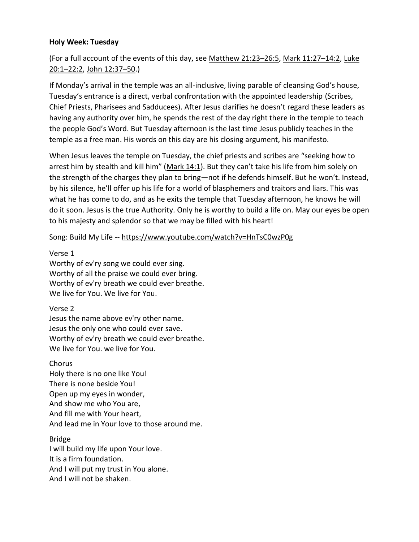## **Holy Week: Tuesday**

(For a full account of the events of this day, see [Matthew 21:23](https://www.esv.org/Matthew%2021%3A23%E2%80%9326%3A5/)–26:5, [Mark 11:27](https://www.esv.org/Mark%2011%3A27%E2%80%9314%3A2/)–14:2, [Luke](https://www.esv.org/Luke%2020%3A1%E2%80%9322%3A2/)  20:1–[22:2,](https://www.esv.org/Luke%2020%3A1%E2%80%9322%3A2/) [John 12:37](https://www.esv.org/John%2012%3A37%E2%80%9350/)–50.)

If Monday's arrival in the temple was an all-inclusive, living parable of cleansing God's house, Tuesday's entrance is a direct, verbal confrontation with the appointed leadership (Scribes, Chief Priests, Pharisees and Sadducees). After Jesus clarifies he doesn't regard these leaders as having any authority over him, he spends the rest of the day right there in the temple to teach the people God's Word. But Tuesday afternoon is the last time Jesus publicly teaches in the temple as a free man. His words on this day are his closing argument, his manifesto.

When Jesus leaves the temple on Tuesday, the chief priests and scribes are "seeking how to arrest him by stealth and kill him" ([Mark 14:1](https://www.esv.org/Mark%2014%3A1/)). But they can't take his life from him solely on the strength of the charges they plan to bring—not if he defends himself. But he won't. Instead, by his silence, he'll offer up his life for a world of blasphemers and traitors and liars. This was what he has come to do, and as he exits the temple that Tuesday afternoon, he knows he will do it soon. Jesus is the true Authority. Only he is worthy to build a life on. May our eyes be open to his majesty and splendor so that we may be filled with his heart!

Song: Build My Life -- <https://www.youtube.com/watch?v=HnTsC0wzP0g>

Verse 1 Worthy of ev'ry song we could ever sing. Worthy of all the praise we could ever bring. Worthy of ev'ry breath we could ever breathe. We live for You. We live for You.

Verse 2 Jesus the name above ev'ry other name. Jesus the only one who could ever save. Worthy of ev'ry breath we could ever breathe. We live for You. we live for You.

**Chorus** Holy there is no one like You! There is none beside You! Open up my eyes in wonder, And show me who You are, And fill me with Your heart, And lead me in Your love to those around me.

Bridge I will build my life upon Your love. It is a firm foundation. And I will put my trust in You alone. And I will not be shaken.